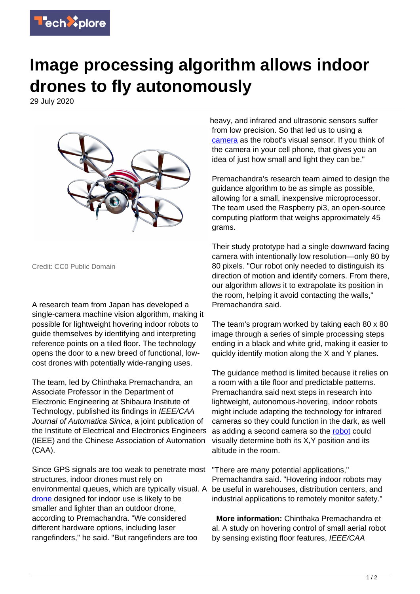

## **Image processing algorithm allows indoor drones to fly autonomously**

29 July 2020



Credit: CC0 Public Domain

A research team from Japan has developed a single-camera machine vision algorithm, making it possible for lightweight hovering indoor robots to guide themselves by identifying and interpreting reference points on a tiled floor. The technology opens the door to a new breed of functional, lowcost drones with potentially wide-ranging uses.

The team, led by Chinthaka Premachandra, an Associate Professor in the Department of Electronic Engineering at Shibaura Institute of Technology, published its findings in IEEE/CAA Journal of Automatica Sinica, a joint publication of the Institute of Electrical and Electronics Engineers (IEEE) and the Chinese Association of Automation (CAA).

Since GPS signals are too weak to penetrate most structures, indoor drones must rely on environmental queues, which are typically visual. A [drone](https://techxplore.com/tags/drone/) designed for indoor use is likely to be smaller and lighter than an outdoor drone, according to Premachandra. "We considered different hardware options, including laser rangefinders," he said. "But rangefinders are too

heavy, and infrared and ultrasonic sensors suffer from low precision. So that led us to using a [camera](https://techxplore.com/tags/camera/) as the robot's visual sensor. If you think of the camera in your cell phone, that gives you an idea of just how small and light they can be."

Premachandra's research team aimed to design the guidance algorithm to be as simple as possible, allowing for a small, inexpensive microprocessor. The team used the Raspberry pi3, an open-source computing platform that weighs approximately 45 grams.

Their study prototype had a single downward facing camera with intentionally low resolution—only 80 by 80 pixels. "Our robot only needed to distinguish its direction of motion and identify corners. From there, our algorithm allows it to extrapolate its position in the room, helping it avoid contacting the walls," Premachandra said.

The team's program worked by taking each 80 x 80 image through a series of simple processing steps ending in a black and white grid, making it easier to quickly identify motion along the X and Y planes.

The guidance method is limited because it relies on a room with a tile floor and predictable patterns. Premachandra said next steps in research into lightweight, autonomous-hovering, indoor robots might include adapting the technology for infrared cameras so they could function in the dark, as well as adding a second camera so the [robot](https://techxplore.com/tags/robot/) could visually determine both its X,Y position and its altitude in the room.

"There are many potential applications," Premachandra said. "Hovering indoor robots may be useful in warehouses, distribution centers, and industrial applications to remotely monitor safety."

 **More information:** Chinthaka Premachandra et al. A study on hovering control of small aerial robot by sensing existing floor features, IEEE/CAA